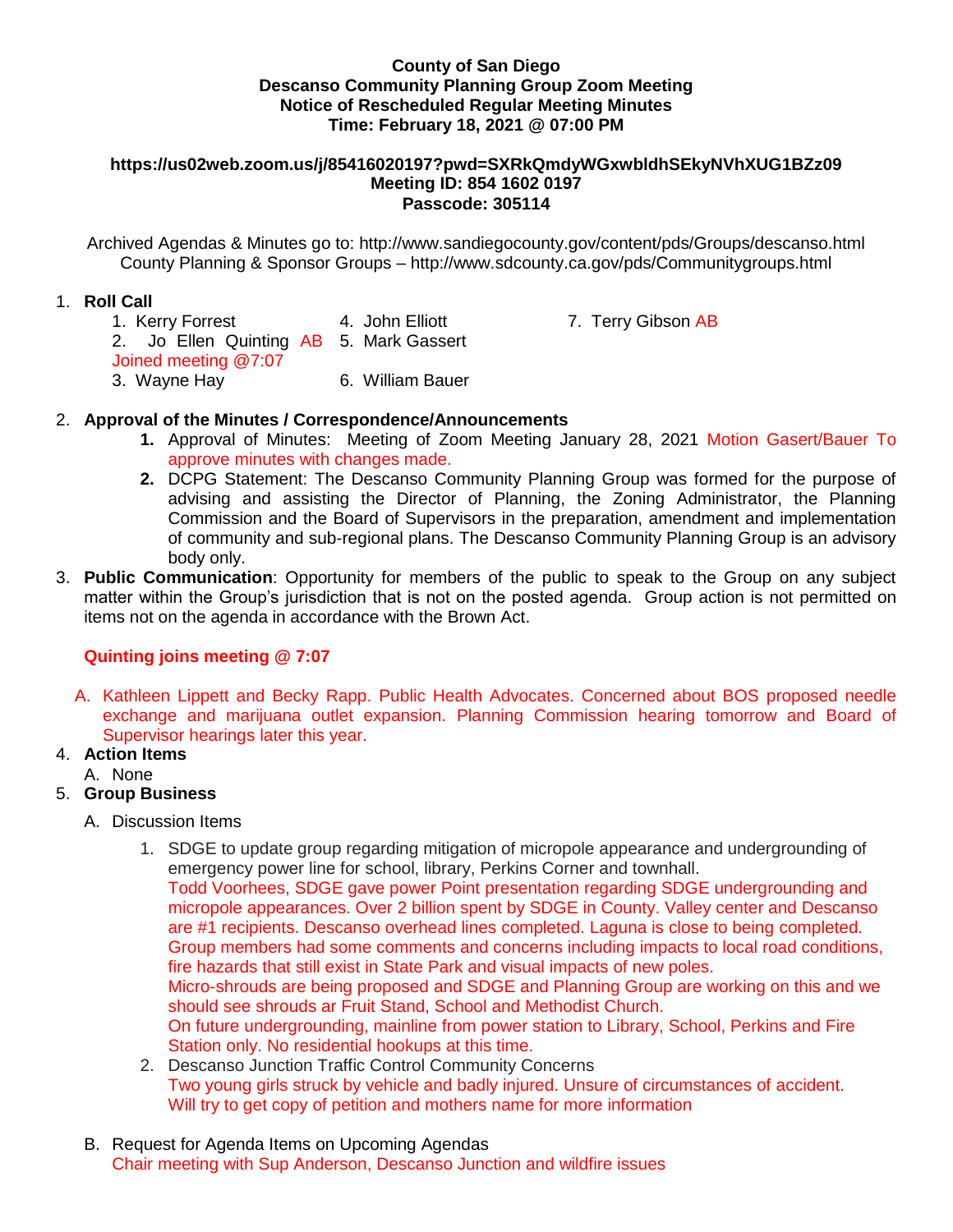### **County of San Diego Descanso Community Planning Group Zoom Meeting Notice of Rescheduled Regular Meeting Minutes Time: February 18, 2021 @ 07:00 PM**

#### **https://us02web.zoom.us/j/85416020197?pwd=SXRkQmdyWGxwbldhSEkyNVhXUG1BZz09 Meeting ID: 854 1602 0197 Passcode: 305114**

Archived Agendas & Minutes go to: http://www.sandiegocounty.gov/content/pds/Groups/descanso.html County Planning & Sponsor Groups – http://www.sdcounty.ca.gov/pds/Communitygroups.html

### 1. **Roll Call**

1. Kerry Forrest **4. John Elliott** 7. Terry Gibson AB 2. Jo Ellen Quinting AB 5. Mark Gassert Joined meeting @7:07 3. Wayne Hay 6. William Bauer

## 2. **Approval of the Minutes / Correspondence/Announcements**

- **1.** Approval of Minutes: Meeting of Zoom Meeting January 28, 2021 Motion Gasert/Bauer To approve minutes with changes made.
- **2.** DCPG Statement: The Descanso Community Planning Group was formed for the purpose of advising and assisting the Director of Planning, the Zoning Administrator, the Planning Commission and the Board of Supervisors in the preparation, amendment and implementation of community and sub-regional plans. The Descanso Community Planning Group is an advisory body only.
- 3. **Public Communication**: Opportunity for members of the public to speak to the Group on any subject matter within the Group's jurisdiction that is not on the posted agenda. Group action is not permitted on items not on the agenda in accordance with the Brown Act.

# **Quinting joins meeting @ 7:07**

A. Kathleen Lippett and Becky Rapp. Public Health Advocates. Concerned about BOS proposed needle exchange and marijuana outlet expansion. Planning Commission hearing tomorrow and Board of Supervisor hearings later this year.

# 4. **Action Items**

A. None

## 5. **Group Business**

- A. Discussion Items
	- 1. SDGE to update group regarding mitigation of micropole appearance and undergrounding of emergency power line for school, library, Perkins Corner and townhall. Todd Voorhees, SDGE gave power Point presentation regarding SDGE undergrounding and micropole appearances. Over 2 billion spent by SDGE in County. Valley center and Descanso are #1 recipients. Descanso overhead lines completed. Laguna is close to being completed. Group members had some comments and concerns including impacts to local road conditions, fire hazards that still exist in State Park and visual impacts of new poles. Micro-shrouds are being proposed and SDGE and Planning Group are working on this and we should see shrouds ar Fruit Stand, School and Methodist Church. On future undergrounding, mainline from power station to Library, School, Perkins and Fire Station only. No residential hookups at this time.
	- 2. Descanso Junction Traffic Control Community Concerns Two young girls struck by vehicle and badly injured. Unsure of circumstances of accident. Will try to get copy of petition and mothers name for more information
- B. Request for Agenda Items on Upcoming Agendas Chair meeting with Sup Anderson, Descanso Junction and wildfire issues